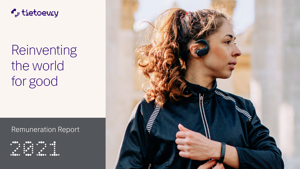



## Remuneration Report



# Reinventing the world for good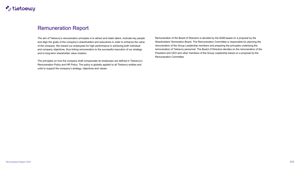

### Remuneration Report

The principles on how the company shall compensate its employees are defined in Tietoevry's Remuneration Policy and HR Policy. The policy is globally applied to all Tietoevry entities and units to support the company's strategy, objectives and values.



The aim of Tietoevry's remuneration principles is to attract and retain talent, motivate key people and align the goals of the company's shareholders and executives in order to enhance the value of the company. We reward our employees for high performance in achieving both individual and company objectives, thus linking remuneration to the successful execution of our strategy and to long-term shareholder value creation. Remuneration of the Board of Directors is decided by the AGM based on a proposal by the Shareholders' Nomination Board. The Remuneration Committee is responsible for planning the remuneration of the Group Leadership members and preparing the principles underlying the remuneration of Tietoevry personnel. The Board of Directors decides on the remuneration of the President and CEO and other members of the Group Leadership based on a proposal by the Remuneration Committee.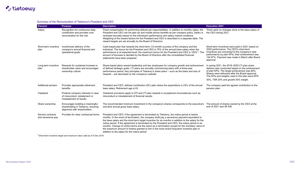#### Summary of the Remuneration of Tietoevry's President and CEO

 $1)$  Short-term incentive target and maximum value valid as of 5 Dec 2019



## **F**<sub>s</sub>: tietoevry

| <b>Element</b>                         | <b>Purpose</b>                                                                                          | <b>Description</b>                                                                                                                                                                                                                                                                                                                                                                                                                                                                                                                                                                                                                                        | <b>Execution 2021</b>                                                                                                                                                                                                                                                                         |
|----------------------------------------|---------------------------------------------------------------------------------------------------------|-----------------------------------------------------------------------------------------------------------------------------------------------------------------------------------------------------------------------------------------------------------------------------------------------------------------------------------------------------------------------------------------------------------------------------------------------------------------------------------------------------------------------------------------------------------------------------------------------------------------------------------------------------------|-----------------------------------------------------------------------------------------------------------------------------------------------------------------------------------------------------------------------------------------------------------------------------------------------|
| Salary                                 | Recognition for continuous daily<br>contribution and provides core<br>remuneration for the role.        | Fixed compensation for performing defined job responsibilities. In addition to monthly salary, the<br>President and CEO can be paid car and mobile phone benefits as per company policy. Salary is<br>reviewed annually based on the individual's performance and salary market conditions.<br>Weighting of the reward factors for the President and CEO is described in a separate table. The<br>reward targets are set annually by the Board of Directors.                                                                                                                                                                                              | There were no changes done to the base salary of<br>the CEO during 2021.                                                                                                                                                                                                                      |
| Short-term incentive<br>plan           | Incentivizes delivery of the<br>company's annual financial and<br>operational goals.                    | Cash-based plan that rewards the short-term (12-month) success of the company and the<br>individual. The bonus for the President and CEO is 75% of the annual base salary when the<br>performance is at expected level; the maximum bonus for the President and CEO is 150% <sup>1)</sup> . The<br>amount of bonuses is decided by the Board of Directors after the consolidated financial<br>statements have been prepared.                                                                                                                                                                                                                              | Short-term incentives were paid in 2021 based on<br>2020 performance. The CEO's short-term<br>incentives are connected to the company's total<br>performance by plan KPIs; their achievement was<br>104.97%. Payment was made in March after Board<br>approval.                               |
| Long-term incentive<br>plan            | Rewards for sustained increase in<br>shareholder value and encourages<br>ownership culture.             | Share-based plans reward leadership and key employees for company growth and achievement<br>of defined strategic goals. LTI plans are annually commencing plans with a three-year<br>performance period. Key principles of Tietoevry's share plans – such as the basis and size of<br>rewards – are described on the company's website.                                                                                                                                                                                                                                                                                                                   | In spring 2021, the 2018–2020 LTI plan share<br>delivery was conducted based on the achievement<br>of plan KPIs. The target achievement was 80%.<br>Shares were delivered after the Board approval.<br>The KPIs and weights used in this plan were EPS<br>30%, TSR 20% and growth 50% weight. |
| <b>Additional pension</b>              | Provides appropriate retirement<br>benefits.                                                            | President and CEO: defined contribution (DC) plan where the expenditure is 23% of the annual<br>base salary. Retirement age is 63.                                                                                                                                                                                                                                                                                                                                                                                                                                                                                                                        | The company paid the agreed contribution to the<br>pension plan.                                                                                                                                                                                                                              |
| Clawback                               | Protects company interests in case<br>of misconduct, restatement or<br>misstatement of results.         | Clawback provisions apply to STI and LTI plan rewards in exceptional circumstances such as<br>misconduct or misstatement of financial results.                                                                                                                                                                                                                                                                                                                                                                                                                                                                                                            |                                                                                                                                                                                                                                                                                               |
| Share ownership                        | Encourages building a meaningful<br>shareholding in Tietoevry, ensuring<br>alignment with shareholders. | The recommended minimum investment in the company's shares corresponds to the executive's<br>one-time annual gross base salary.                                                                                                                                                                                                                                                                                                                                                                                                                                                                                                                           | The amount of shares owned by the CEO at the<br>end of 2021 was 58 439.                                                                                                                                                                                                                       |
| Service contracts<br>and severance pay | Provides for clear contractual terms.                                                                   | President and CEO: if the agreement is terminated by Tietoevry, the notice period is twelve<br>months. In the event of termination, the company shall pay a severance payment equivalent to<br>the base salary and the short-term target incentive for six months in addition to the salary for the<br>notice period. If the agreement is terminated by the President and CEO, the notice period is six<br>months. Change of control terms are the same as in termination except for the monetary value of<br>the maximum amount of shares granted to him in the most recent long-term incentive plan in<br>addition to the salary for the notice period. |                                                                                                                                                                                                                                                                                               |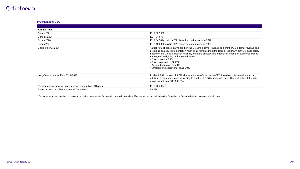## $\blacksquare$ : tietoevry

#### President and CEO

| <b>Kimmo Alkio</b>  |                    |
|---------------------|--------------------|
| Salary 2021         | <b>EUR 807 300</b> |
| Benefits 2021       | EUR 34 670         |
| <b>Bonus 2020</b>   | EUR 847 424        |
| <b>Bonus 2021</b>   | EUR 484 380        |
| Basis of bonus 2021 | Target 75% c       |

Pension expenditure, voluntary defined contribution (DC) plan Share ownership in Tietoevry on 31 December

 $1)$  Payments to defined contribution plans are recognized as expenses for the period to which they relate. After payment of the contribution the Group has no further obligations in respect of such plans.

EUR 807 300

EUR 847 424, paid in 2021 based on performance in 2020

EUR 484 380 paid in 2022 based on performance in 2021

Target 75% of base salary based on the Group's external revenue and profit, PDS external revenue and profit and strategy implementation when achievements meet the targets. Maximum 150% of base salary based on the Group's external revenue, profit and strategy implementation when achievements exceed the targets. Weighting of the reward factors:

Long-Term Incentive Plan 2018–2020 **In March 2021, a total of 9 729 shares were transferred to the CEO based on criteria attainment. In** addition, a cash portion corresponding to a value of 8 576 shares was paid. The total value of the paid gross reward was EUR 509 814.

| $\overline{\phantom{a}}$ |
|--------------------------|
|                          |
|                          |



- Group revenue 30%
- Group adjusted profit 30%
- Adjusted free cash flow 10%
- Strategic and operational goals 30%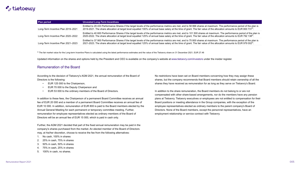## $\blacksquare$  tietoevry

| <b>Plan period</b>                 | <b>Unvested Long-Term Incentives</b>                                                                                 |
|------------------------------------|----------------------------------------------------------------------------------------------------------------------|
| Long-Term Incentive Plan 2019-2021 | Entitled to 29 433 Performance Shares if the target leve<br>2019-2021. The share allocation at target level equaller |
| Long-Term Incentive Plan 2020–2022 | Entitled to 40 600 Performance Shares if the target leve<br>2020-2022. The share allocation at target level equallee |
| Long-Term Incentive Plan 2021-2023 | Entitled to 37 900 Performance Shares if the target leve<br>2021-2023. The share allocation at target level equallee |

 $^{2)}$  The fair market value for the Long-term Incentive Plans is calculated using the latest performance estimates and the value of the Tietoevry share on 31 December 2021, EUR 27.48

Updated information on the shares and options held by the President and CEO is available on the company's website at [www.tietoevry.com/investors](https://www.tietoevry.com/en/investor-relations/) under the insider register.

#### Remuneration of the Board

According to the decision of Tietoevry's AGM 2021, the annual remuneration of the Board of Directors is the following:

- EUR 125 000 to the Chairperson,
- EUR 70 000 to the Deputy Chairperson and
- EUR 53 000 to the ordinary members of the Board of Directors.

Further, the AGM 2021 decided that part of the fixed annual remuneration may be paid in the company's shares purchased from the market. An elected member of the Board of Directors may, at his/her discretion, choose to receive the fee from the following alternatives:

- 1. No cash, 100% in shares
- 2. 25% in cash, 75% in shares
- 3. 50% in cash, 50% in shares
- 4. 75% in cash, 25% in shares
- 5. 100% in cash, no shares.

els of the performance metrics are met, and to 58 866 shares at maximum. The performance period of the plan is ed 100% of annual base salary at the time of grant. The fair value of the allocation amounts to EUR 800 731<sup>2)</sup>.

els of the performance metrics are met, and to 101 500 shares at maximum. The performance period of the plan is ed 125% of annual base salary at the time of grant. The fair value of the allocation amounts to EUR 792 138<sup>2)</sup>.

els of the performance metrics are met, and to 75 800 shares at maximum. The performance period of the plan is ed 125% of annual base salary at the time of grant. The fair value of the allocation amounts to EUR 979 002 $^{\rm 2)}$ .

In addition to these fees, the Chairperson of a permanent Board Committee receives an annual fee of EUR 20 000 and a member of a permanent Board Committee receives an annual fee of EUR 10 000. In addition, remuneration of EUR 800 is paid to the Board members elected by the Annual General Meeting for each permanent or temporary committee meeting. Further, remuneration for employee representatives elected as ordinary members of the Board of Directors will be an annual fee of EUR 15 000, which is paid in cash only. In addition to the share remuneration, the Board members do not belong to or are not compensated with other share-based arrangements, nor do the members have any pension plans at Tietoevry. Tietoevry executives or employees are not entitled to compensation for their Board positions or meeting attendance in the Group companies, with the exception of the employee representatives elected as ordinary members to the parent company's Board of Directors. None of the Board members, except the personnel representatives, have an employment relationship or service contract with Tietoevry.

No restrictions have been set on Board members concerning how they may assign these shares, but the company recommends that Board members should retain ownership of all the shares they have received as remuneration for as long as they serve on Tietoevry's Board.

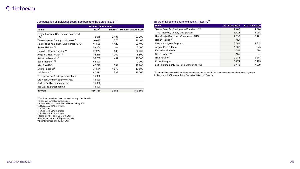## **F**. tietoevry

|                                                     | <b>Annual remuneration</b> |                      |                           | <b>Name</b>                                                                                                            | At 31 Dec 2021 | At 31 Dec 2020 |
|-----------------------------------------------------|----------------------------|----------------------|---------------------------|------------------------------------------------------------------------------------------------------------------------|----------------|----------------|
| <b>Name</b>                                         | EUR <sup>2</sup>           | Shares <sup>3)</sup> | <b>Meeting based, EUR</b> | Tomas Franzén, Chairperson Board and RC                                                                                | 7 4 0 8        | 4 9 24         |
| Tomas Franzén, Chairperson Board and                |                            |                      |                           | Timo Ahopelto, Deputy Chairperson                                                                                      | 5424           | 4 0 5 4        |
| RC <sup>4</sup>                                     | 72 515                     | 2 4 8 4              | 23 200                    | Harri-Pekka Kaukonen, Chairperson ARC                                                                                  | 7893           | 6471           |
| Timo Ahopelto, Deputy Chairperson <sup>4)</sup>     | 40 0 23                    | 1 3 7 0              | 18 400                    | Rohan Haldea <sup>9)</sup>                                                                                             | N/A            |                |
| Harri-Pekka Kaukonen, Chairperson ARC <sup>4)</sup> | 41 505                     | 1 4 2 2              | 26 400                    | Liselotte Hägertz Engstam                                                                                              | 3 3 8 1        | 2842           |
| Rohan Haldea <sup>5) 9)</sup>                       | 53 000                     |                      | 7 200                     | Angela Mazza Teufer                                                                                                    | 1 3 6 2        | N/A            |
| Liselotte Hägertz Engstam <sup>6)</sup>             | 47 272                     | 539                  | 22 400                    | Katharina Mosheim                                                                                                      | 1 0 5 2        | 598            |
| Angela Mazza Teufer <sup>7) 8)</sup>                | 13 256                     | 1 3 6 2              | 8 8 0 0                   | Salim Nathoo <sup>10)</sup>                                                                                            | N/A            |                |
| Katharina Mosheim <sup>6)</sup>                     | 39 752                     | 454                  | 17 600                    | Niko Pakalén                                                                                                           | 2 7 8 6        | 2 2 4 7        |
| Salim Nathoo <sup>5) 10)</sup>                      | 63 000                     |                      | 7 200                     | <b>Endre Rangnes</b>                                                                                                   | 6 2 7 4        | 5 1 9 5        |
| Niko Pakalén <sup>6)</sup>                          | 47 272                     | 539                  | 19 200                    | Leif Teksum (partly via Teklei Consulting AS)                                                                          | 8 4 4 8        | 7 9 0 9        |
| Endre Rangnes <sup>4)</sup>                         | 31 514                     | 1 0 7 9              | 16 800                    |                                                                                                                        |                |                |
| Leif Teksum <sup>6)</sup>                           | 47 272                     | 539                  | 15 200                    | <sup>11)</sup> Corporations over which the Board members exercise control did not have shares or share-based rights on |                |                |
| Tommy Sander Aldrin, personnel rep.                 | 15 000                     |                      |                           | 31 December 2021, except Teklei Consulting AS of Leif Teksum.                                                          |                |                |
| Ola Hugo Jordhoy, personnel rep.                    | 15 000                     |                      |                           |                                                                                                                        |                |                |
| Anders Palklint, personnel rep.                     | 15 000                     |                      |                           |                                                                                                                        |                |                |
| Ilpo Waljus, personnel rep.                         | 15 000                     |                      |                           |                                                                                                                        |                |                |
| In total                                            | 556 380                    | 9788                 | 189 600                   |                                                                                                                        |                |                |

#### Compensation of individual Board members and the Board in 2021<sup>1)</sup>

 $1)$  The Board members have not received any other benefits.

<sup>2)</sup> Gross compensation before taxes.

 $^{3)}$  Shares were purchased and delivered in May 2021.

 $^{4)}$  50% in cash, 50% in shares.

 $^{5)}$  100% in cash.

 $^{\rm 6)}$  75% in cash, 25% in shares

 $^{7)}$  25% in cash, 75% in shares.

 $8)$  Board member as of 25 March 2021.

<sup>9)</sup> Board member until 7 September 2021.

<sup>10)</sup> Board member until 19 July 2021.

#### Board of Directors' shareholdings in Tietoevry<sup>11)</sup>

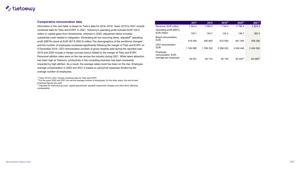## $\blacksquare$ : tietoevry

#### **Comparative remuneration data**

Information in the next table is based on Tieto's data for 2016–2018. Years 2019 to 2021 inclu combined data for Tieto and EVRY. In 2021, Tietoevry's operating profit includes EUR 104.0 million in capital gains from divestments, whereas in 2020, adjustment items included substantial costs related to integration. Eliminating all non-recurring items, adjusted<sup>3)</sup> operatin profit (EBITA) stood at EUR 367.8 (355.0) million. The demographics of the workforce changed and the number of employees increased significantly following the merger of Tieto and EVRY 5 December 2019. CEO remuneration consists of gross rewards paid during the reported year. 2019 and 2020 include a merger success bonus related to the merger of Tieto and EVRY. Personnel attrition rates were on the rise across the industry during 2021. While talent attracti has been high at Tietoevry, productivity in the consulting business has been somewhat impacted by high attrition. As a result, the average salary level has been on the rise. Employee average compensation in 2020 and 2021 is based on personnel expenses divided by the average number of employees.

 $1)$  Years 2019 to 2021 include combined data for Tieto and EVRY

 $2)$  For the years 2020 and 2021 we use the average number of employees; for the other years, the end-of-year employee figures are used

 $3)$  Adjusted for restructuring costs, capital gains/losses, goodwill impairment charges and other items affecting comparability

|                        |                                                        | 2017      | 2018     | $2019^{1}$ | $2020^{1}$   | $2021^{1}$           |
|------------------------|--------------------------------------------------------|-----------|----------|------------|--------------|----------------------|
| ude                    | Revenue, EUR million                                   | 1 543.4   | 1 599.5  | 1 734.0    | 2 7 8 6.4    | 2 8 2 3 . 4          |
|                        | Operating profit (EBIT),<br><b>EUR million</b>         | 139.1     | 154.7    | 124.2      | 146.7        | 382.0                |
| ıg<br>d<br>΄ on<br>ìr. | Board remuneration,<br><b>EUR</b>                      | 518 000   | 450 800  | 613 500    | 641 300      | 556 380              |
|                        | CEO remuneration,<br><b>EUR</b>                        | 1 160 985 | 1788 302 | 2 589 032  | 2 636 446    | 2 404 562            |
| ion                    | Employee<br>remuneration, EUR,<br>average per employee | 59 551    | 60 710   | 62 155     | $62,452^{2}$ | 64 084 <sup>2)</sup> |
|                        |                                                        |           |          |            |              |                      |